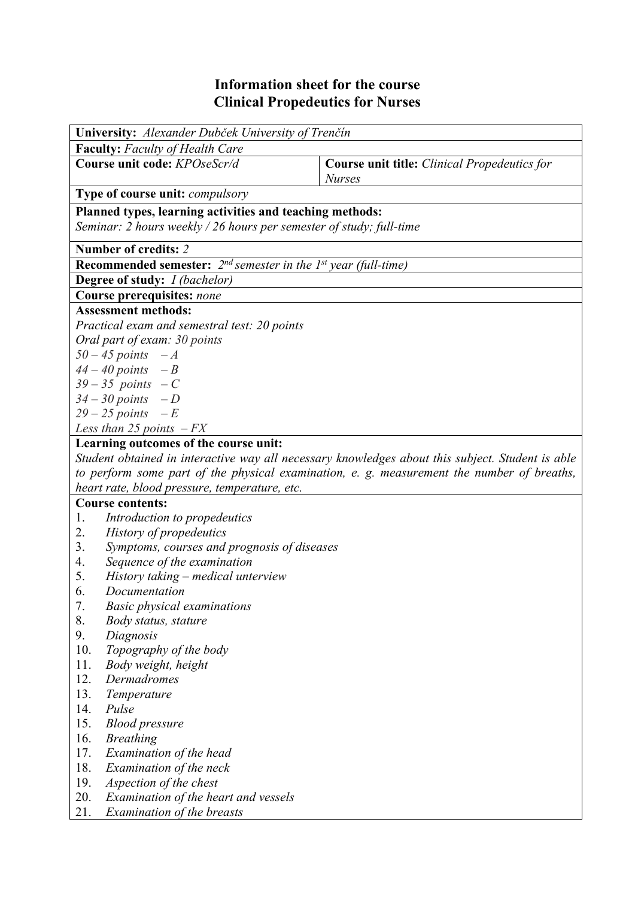## **Information sheet for the course Clinical Propedeutics for Nurses**

| University: Alexander Dubček University of Trenčín                                                                              |                                                                                            |  |  |  |  |  |  |  |
|---------------------------------------------------------------------------------------------------------------------------------|--------------------------------------------------------------------------------------------|--|--|--|--|--|--|--|
| <b>Faculty:</b> Faculty of Health Care                                                                                          |                                                                                            |  |  |  |  |  |  |  |
| Course unit code: KPOseScr/d                                                                                                    | <b>Course unit title:</b> Clinical Propedeutics for<br><b>Nurses</b>                       |  |  |  |  |  |  |  |
| <b>Type of course unit: <i>compulsory</i></b>                                                                                   |                                                                                            |  |  |  |  |  |  |  |
| Planned types, learning activities and teaching methods:<br>Seminar: 2 hours weekly / 26 hours per semester of study; full-time |                                                                                            |  |  |  |  |  |  |  |
| Number of credits: 2                                                                                                            |                                                                                            |  |  |  |  |  |  |  |
| <b>Recommended semester:</b> $2^{nd}$ semester in the 1 <sup>st</sup> year (full-time)                                          |                                                                                            |  |  |  |  |  |  |  |
| Degree of study: <i>I (bachelor)</i>                                                                                            |                                                                                            |  |  |  |  |  |  |  |
| <b>Course prerequisites: none</b>                                                                                               |                                                                                            |  |  |  |  |  |  |  |
| <b>Assessment methods:</b>                                                                                                      |                                                                                            |  |  |  |  |  |  |  |
| Practical exam and semestral test: 20 points                                                                                    |                                                                                            |  |  |  |  |  |  |  |
| Oral part of exam: 30 points                                                                                                    |                                                                                            |  |  |  |  |  |  |  |
| $50 - 45$ points $-A$                                                                                                           |                                                                                            |  |  |  |  |  |  |  |
| $44 - 40$ points $-B$                                                                                                           |                                                                                            |  |  |  |  |  |  |  |
| $39-35$ points $-C$                                                                                                             |                                                                                            |  |  |  |  |  |  |  |
|                                                                                                                                 | $34 - 30$ points $-D$                                                                      |  |  |  |  |  |  |  |
|                                                                                                                                 | $29-25$ points $-E$                                                                        |  |  |  |  |  |  |  |
| Less than $25$ points $-FX$                                                                                                     |                                                                                            |  |  |  |  |  |  |  |
| Learning outcomes of the course unit:                                                                                           |                                                                                            |  |  |  |  |  |  |  |
| Student obtained in interactive way all necessary knowledges about this subject. Student is able                                |                                                                                            |  |  |  |  |  |  |  |
|                                                                                                                                 | to perform some part of the physical examination, e. g. measurement the number of breaths, |  |  |  |  |  |  |  |
| heart rate, blood pressure, temperature, etc.                                                                                   |                                                                                            |  |  |  |  |  |  |  |
| <b>Course contents:</b>                                                                                                         |                                                                                            |  |  |  |  |  |  |  |
| Introduction to propedeutics<br>1.                                                                                              |                                                                                            |  |  |  |  |  |  |  |
| History of propedeutics<br>2.                                                                                                   |                                                                                            |  |  |  |  |  |  |  |
| Symptoms, courses and prognosis of diseases<br>3.                                                                               |                                                                                            |  |  |  |  |  |  |  |
| Sequence of the examination<br>4.                                                                                               |                                                                                            |  |  |  |  |  |  |  |
| 5.<br>History taking – medical unterview                                                                                        |                                                                                            |  |  |  |  |  |  |  |
| 6.                                                                                                                              | Documentation                                                                              |  |  |  |  |  |  |  |
| 7.<br>8.                                                                                                                        | <b>Basic physical examinations</b>                                                         |  |  |  |  |  |  |  |
| Body status, stature                                                                                                            |                                                                                            |  |  |  |  |  |  |  |
| 9.<br>Diagnosis                                                                                                                 |                                                                                            |  |  |  |  |  |  |  |
| 10.<br>Topography of the body                                                                                                   |                                                                                            |  |  |  |  |  |  |  |
| 11.<br>Body weight, height<br>12.<br>Dermadromes                                                                                |                                                                                            |  |  |  |  |  |  |  |
|                                                                                                                                 |                                                                                            |  |  |  |  |  |  |  |
| 13.<br>14.<br>Pulse                                                                                                             | Temperature                                                                                |  |  |  |  |  |  |  |
| 15.<br><b>Blood pressure</b>                                                                                                    |                                                                                            |  |  |  |  |  |  |  |
| 16.<br><b>Breathing</b>                                                                                                         |                                                                                            |  |  |  |  |  |  |  |
| 17.<br>Examination of the head                                                                                                  |                                                                                            |  |  |  |  |  |  |  |
| 18.<br>Examination of the neck                                                                                                  |                                                                                            |  |  |  |  |  |  |  |
| Aspection of the chest                                                                                                          |                                                                                            |  |  |  |  |  |  |  |
| 19.                                                                                                                             |                                                                                            |  |  |  |  |  |  |  |

21. *Examination of the breasts*